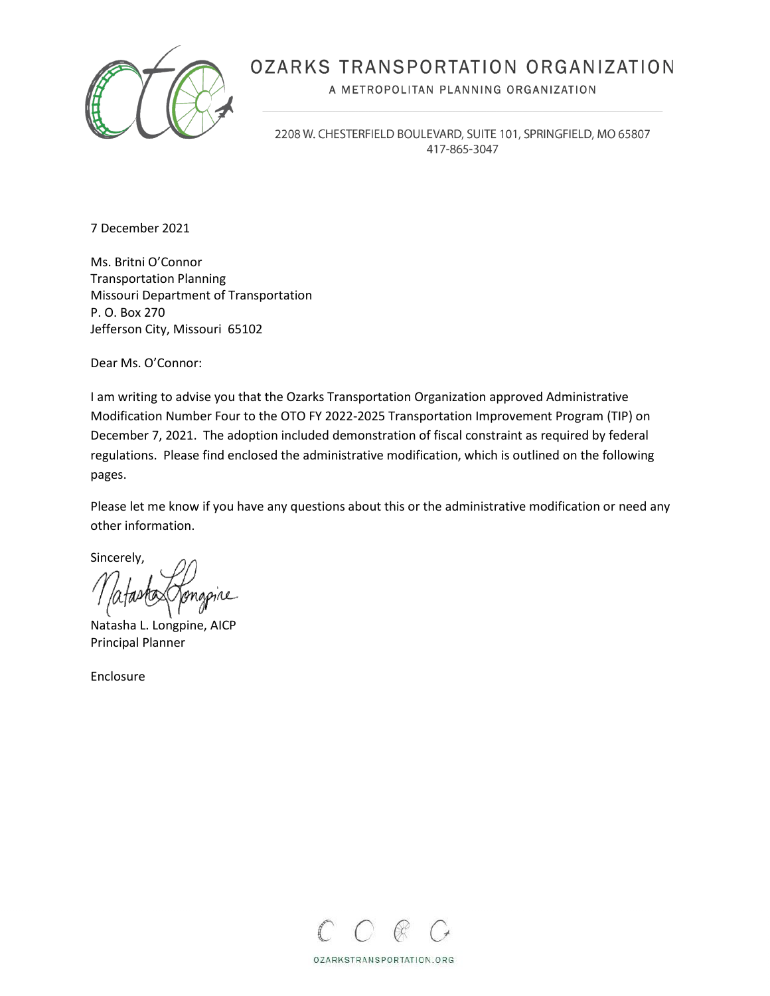

# OZARKS TRANSPORTATION ORGANIZATION

A METROPOLITAN PLANNING ORGANIZATION

2208 W. CHESTERFIELD BOULEVARD, SUITE 101, SPRINGFIELD, MO 65807 417-865-3047

7 December 2021

Ms. Britni O'Connor Transportation Planning Missouri Department of Transportation P. O. Box 270 Jefferson City, Missouri 65102

Dear Ms. O'Connor:

I am writing to advise you that the Ozarks Transportation Organization approved Administrative Modification Number Four to the OTO FY 2022-2025 Transportation Improvement Program (TIP) on December 7, 2021. The adoption included demonstration of fiscal constraint as required by federal regulations. Please find enclosed the administrative modification, which is outlined on the following pages.

Please let me know if you have any questions about this or the administrative modification or need any other information.

Sincerely,

Natasha L. Longpine, AICP Principal Planner

Enclosure



OZARKSTRANSPORTATION.ORG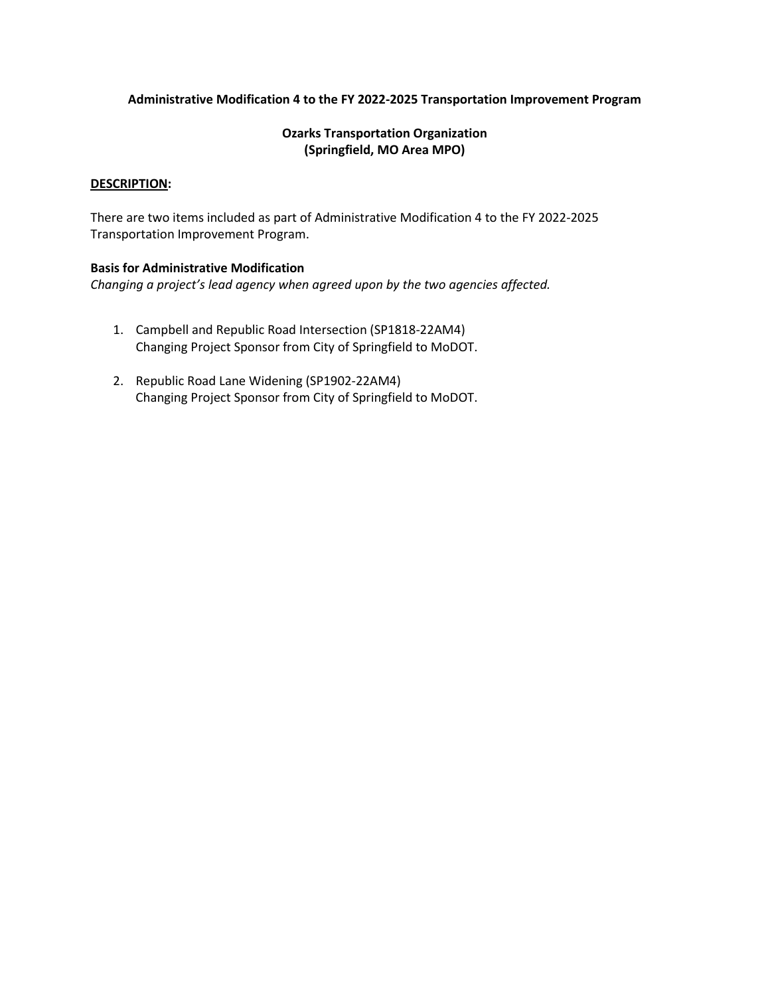## **Administrative Modification 4 to the FY 2022-2025 Transportation Improvement Program**

## **Ozarks Transportation Organization (Springfield, MO Area MPO)**

### **DESCRIPTION:**

There are two items included as part of Administrative Modification 4 to the FY 2022-2025 Transportation Improvement Program.

## **Basis for Administrative Modification**

*Changing a project's lead agency when agreed upon by the two agencies affected.*

- 1. Campbell and Republic Road Intersection (SP1818-22AM4) Changing Project Sponsor from City of Springfield to MoDOT.
- 2. Republic Road Lane Widening (SP1902-22AM4) Changing Project Sponsor from City of Springfield to MoDOT.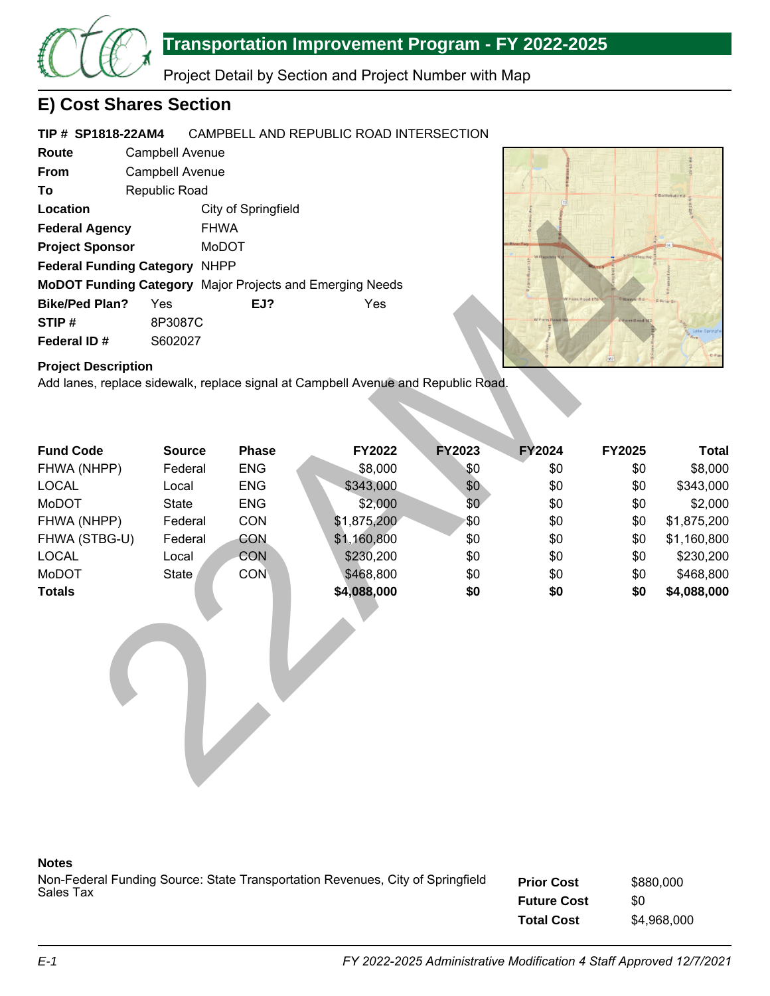

Project Detail by Section and Project Number with Map

## **E) Cost Shares Section**

#### **TIP # SP1818-22AM4** CAMPBELL AND REPUBLIC ROAD INTERSECTION

| Route                                | <b>Campbell Avenue</b> |                                                                 |     |  |  |
|--------------------------------------|------------------------|-----------------------------------------------------------------|-----|--|--|
| From                                 | Campbell Avenue        |                                                                 |     |  |  |
| To                                   | Republic Road          |                                                                 |     |  |  |
| Location                             |                        | City of Springfield                                             |     |  |  |
| <b>Federal Agency</b>                |                        | <b>FHWA</b>                                                     |     |  |  |
| <b>Project Sponsor</b>               |                        | MoDOT                                                           |     |  |  |
| <b>Federal Funding Category NHPP</b> |                        |                                                                 |     |  |  |
|                                      |                        | <b>MoDOT Funding Category</b> Major Projects and Emerging Needs |     |  |  |
| <b>Bike/Ped Plan?</b>                | Yes                    | EJ?                                                             | Yes |  |  |
| STIP#                                | 8P3087C                |                                                                 |     |  |  |
| Federal ID#                          | S602027                |                                                                 |     |  |  |



## **Project Description**

| Location                                                 |               | City of Springfield |                                                                                   |               |        |        |              |
|----------------------------------------------------------|---------------|---------------------|-----------------------------------------------------------------------------------|---------------|--------|--------|--------------|
| <b>Federal Agency</b>                                    |               | <b>FHWA</b>         |                                                                                   |               |        |        |              |
| <b>Project Sponsor</b><br>MoDOT                          |               |                     |                                                                                   |               |        |        |              |
| Federal Funding Category NHPP                            |               |                     |                                                                                   |               |        |        |              |
| MoDOT Funding Category Major Projects and Emerging Needs |               |                     |                                                                                   |               |        |        |              |
| <b>Bike/Ped Plan?</b>                                    | Yes           | EJ?                 | Yes                                                                               |               |        |        |              |
| STIP#                                                    | 8P3087C       |                     |                                                                                   |               |        |        |              |
| Federal ID#                                              | S602027       |                     |                                                                                   |               |        |        |              |
| <b>Project Description</b>                               |               |                     | Add lanes, replace sidewalk, replace signal at Campbell Avenue and Republic Road. |               |        | WI.    |              |
| <b>Fund Code</b>                                         | <b>Source</b> | <b>Phase</b>        | FY2022                                                                            | <b>FY2023</b> | FY2024 | FY2025 | <b>Total</b> |
| FHWA (NHPP)                                              | Federal       | <b>ENG</b>          | \$8,000                                                                           | \$0           | \$0    | \$0    | \$8,000      |
| <b>LOCAL</b>                                             | Local         | <b>ENG</b>          | \$343,000                                                                         | \$0           | \$0    | \$0    | \$343,000    |
| MoDOT                                                    | <b>State</b>  | <b>ENG</b>          | \$2,000                                                                           | \$0           | \$0    | \$0    | \$2,000      |
| FHWA (NHPP)                                              | Federal       | CON                 | \$1,875,200                                                                       | \$0           | \$0    | \$0    | \$1,875,200  |
| FHWA (STBG-U)                                            | Federal       | CON                 | \$1,160,800                                                                       | \$0           | \$0    | \$0    | \$1,160,800  |
| <b>LOCAL</b>                                             | Local         | CON                 | \$230,200                                                                         | \$0           | \$0    | \$0    | \$230,200    |
| MoDOT                                                    | <b>State</b>  | <b>CON</b>          | \$468,800                                                                         | \$0           | \$0    | \$0    | \$468,800    |
| <b>Totals</b>                                            |               |                     | \$4,088,000                                                                       | \$0           | \$0    | \$0    | \$4,088,000  |

### **Notes**

**Prior Cost Future Cost** Non-Federal Funding Source: State Transportation Revenues, City of Springfield Sales Tax \$880,000 \$0

**Total Cost**

\$4,968,000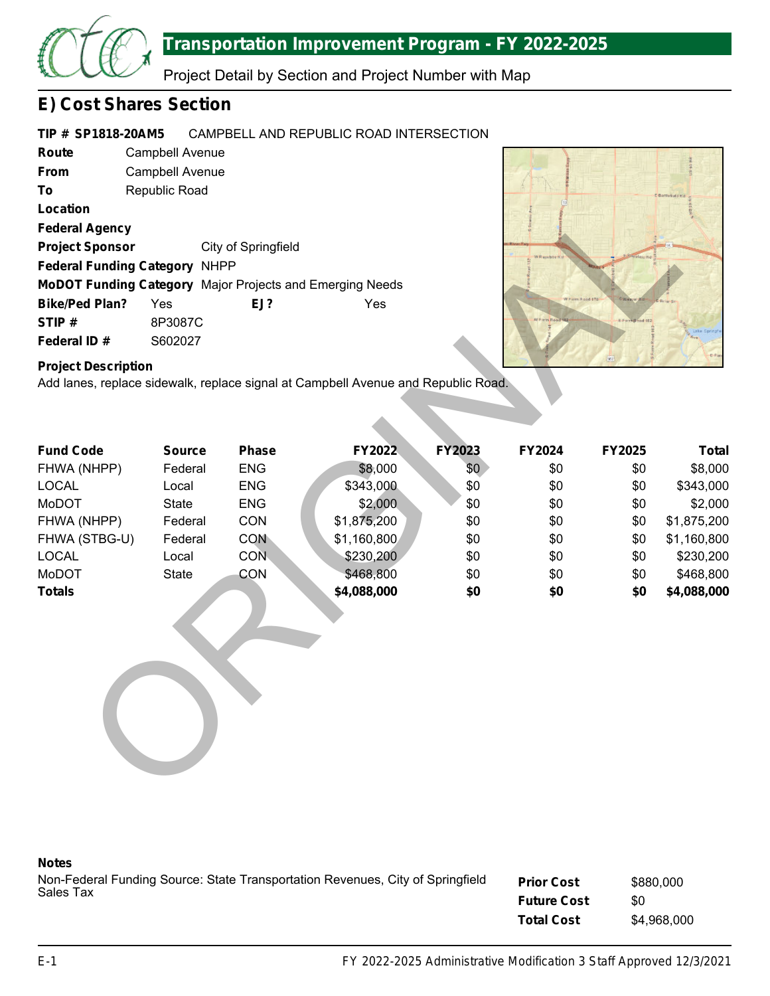

Project Detail by Section and Project Number with Map

## **E) Cost Shares Section**

#### **TIP # SP1818-20AM5** CAMPBELL AND REPUBLIC ROAD INTERSECTION

**Route From To Location Federal Agency Project Sponsor Federal Funding Category** NHPP **MoDOT Funding Category** Major Projects and Emerging Needs **Bike/Ped Plan? EJ? STIP # Federal ID #** Campbell Avenue Campbell Avenue Republic Road City of Springfield Yes Yes 8P3087C S602027



## **Project Description**

| Location                             |               |                     |                                                                                   |        |        |        |              |
|--------------------------------------|---------------|---------------------|-----------------------------------------------------------------------------------|--------|--------|--------|--------------|
| <b>Federal Agency</b>                |               |                     |                                                                                   |        |        |        |              |
| <b>Project Sponsor</b>               |               | City of Springfield |                                                                                   |        |        |        |              |
| <b>Federal Funding Category NHPP</b> |               |                     |                                                                                   |        |        |        |              |
|                                      |               |                     | MoDOT Funding Category Major Projects and Emerging Needs                          |        |        |        |              |
| <b>Bike/Ped Plan?</b>                | Yes           | EJ?                 | Yes                                                                               |        |        |        |              |
| STIP#                                | 8P3087C       |                     |                                                                                   |        |        |        |              |
| Federal ID#                          | S602027       |                     |                                                                                   |        |        |        |              |
| <b>Project Description</b>           |               |                     | Add lanes, replace sidewalk, replace signal at Campbell Avenue and Republic Road. |        |        | 101    |              |
|                                      |               |                     |                                                                                   |        |        |        |              |
|                                      |               |                     |                                                                                   |        |        |        |              |
| <b>Fund Code</b>                     | <b>Source</b> | Phase               | FY2022                                                                            | FY2023 | FY2024 | FY2025 | <b>Total</b> |
| FHWA (NHPP)                          | Federal       | <b>ENG</b>          | \$8,000                                                                           | \$0    | \$0    | \$0    | \$8,000      |
| <b>LOCAL</b>                         | Local         | <b>ENG</b>          | \$343,000                                                                         | \$0    | \$0    | \$0    | \$343,000    |
| <b>MoDOT</b>                         | State         | <b>ENG</b>          | \$2,000                                                                           | \$0    | \$0    | \$0    | \$2,000      |
| FHWA (NHPP)                          | Federal       | CON                 | \$1,875,200                                                                       | \$0    | \$0    | \$0    | \$1,875,200  |
| FHWA (STBG-U)                        | Federal       | <b>CON</b>          | \$1,160,800                                                                       | \$0    | \$0    | \$0    | \$1,160,800  |
| <b>LOCAL</b>                         | Local         | CON.                | \$230,200                                                                         | \$0    | \$0    | \$0    | \$230,200    |
| MoDOT                                | <b>State</b>  | CON                 | \$468,800                                                                         | \$0    | \$0    | \$0    | \$468,800    |
| <b>Totals</b>                        |               |                     | \$4,088,000                                                                       | \$0    | \$0    | \$0    | \$4,088,000  |
|                                      |               |                     |                                                                                   |        |        |        |              |
|                                      |               |                     |                                                                                   |        |        |        |              |
|                                      |               |                     |                                                                                   |        |        |        |              |
|                                      |               |                     |                                                                                   |        |        |        |              |
|                                      |               |                     |                                                                                   |        |        |        |              |
|                                      |               |                     |                                                                                   |        |        |        |              |
|                                      |               |                     |                                                                                   |        |        |        |              |
|                                      |               |                     |                                                                                   |        |        |        |              |
|                                      |               |                     |                                                                                   |        |        |        |              |
|                                      |               |                     |                                                                                   |        |        |        |              |

### **Notes**

**Prior Cost Future Cost** Non-Federal Funding Source: State Transportation Revenues, City of Springfield Sales Tax \$880,000 \$0

**Total Cost** \$4,968,000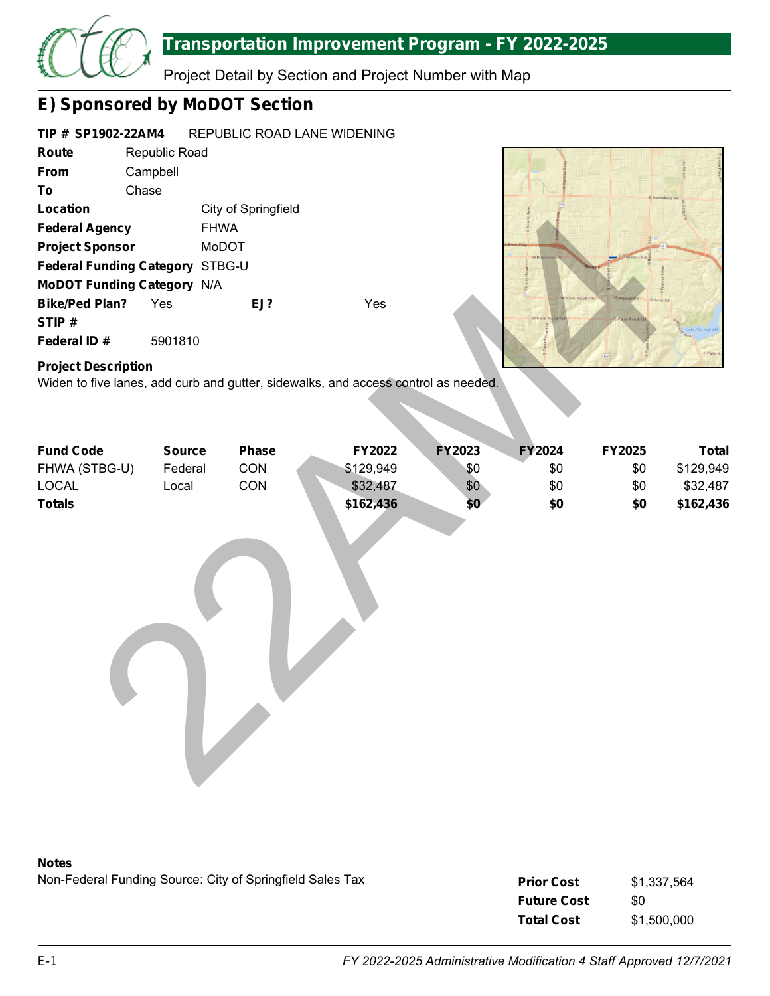

Project Detail by Section and Project Number with Map

# **E) Sponsored by MoDOT Section**

#### **TIP # SP1902-22AM4** REPUBLIC ROAD LANE WIDENING

| Route                             | Republic Road |                     |      |  |
|-----------------------------------|---------------|---------------------|------|--|
| From                              | Campbell      |                     |      |  |
| Т٥                                | Chase         |                     |      |  |
| Location                          |               | City of Springfield |      |  |
| <b>Federal Agency</b>             |               | <b>FHWA</b>         |      |  |
| <b>Project Sponsor</b>            |               | MoDOT               |      |  |
| Federal Funding Category STBG-U   |               |                     |      |  |
| <b>MoDOT Funding Category N/A</b> |               |                     |      |  |
| <b>Bike/Ped Plan?</b>             | Yes           | EJ?                 | Yes. |  |
| STIP#                             |               |                     |      |  |
| Federal ID#                       | 5901810       |                     |      |  |



## **Project Description**

| Location                          |               | City of Springfield |                                                                                    |        |        |            |              |
|-----------------------------------|---------------|---------------------|------------------------------------------------------------------------------------|--------|--------|------------|--------------|
| <b>Federal Agency</b>             | <b>FHWA</b>   |                     |                                                                                    |        |        |            |              |
| <b>Project Sponsor</b>            |               | MoDOT               |                                                                                    |        |        |            |              |
| Federal Funding Category STBG-U   |               |                     |                                                                                    |        |        |            |              |
| <b>MoDOT Funding Category N/A</b> |               |                     |                                                                                    |        |        |            |              |
| <b>Bike/Ped Plan?</b>             | Yes           | EJ?                 | Yes                                                                                |        |        |            |              |
| STIP#                             |               |                     |                                                                                    |        |        |            |              |
| Federal ID#                       | 5901810       |                     |                                                                                    |        |        |            |              |
| <b>Project Description</b>        |               |                     | Widen to five lanes, add curb and gutter, sidewalks, and access control as needed. |        |        | <b>BRS</b> |              |
|                                   |               |                     |                                                                                    |        |        |            |              |
| <b>Fund Code</b>                  | <b>Source</b> | <b>Phase</b>        | FY2022                                                                             | FY2023 | FY2024 | FY2025     | <b>Total</b> |
| FHWA (STBG-U)                     | Federal       | CON                 | \$129,949                                                                          | \$0    | \$0    | \$0        | \$129,949    |
| <b>LOCAL</b>                      | Local         | CON                 | \$32,487                                                                           | \$0    | \$0    | \$0        | \$32,487     |
| <b>Totals</b>                     |               |                     | \$162,436                                                                          | \$0    | \$0    | \$0        | \$162,436    |
|                                   |               |                     |                                                                                    |        |        |            |              |



Non-Federal Funding Source: City of Springfield Sales Tax

| <b>Prior Cost</b>  | \$1,337,564 |
|--------------------|-------------|
| <b>Future Cost</b> | \$0         |
| <b>Total Cost</b>  | \$1,500,000 |